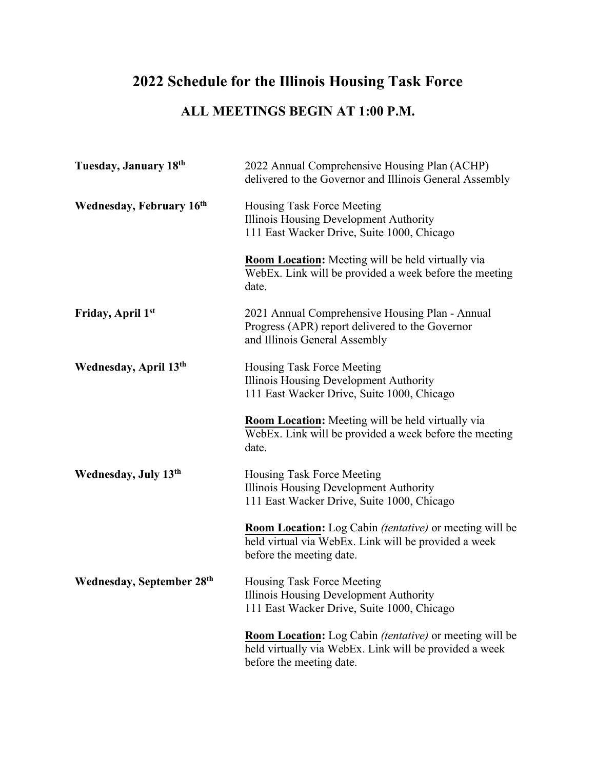## **2022 Schedule for the Illinois Housing Task Force**

## **ALL MEETINGS BEGIN AT 1:00 P.M.**

| Tuesday, January 18th           | 2022 Annual Comprehensive Housing Plan (ACHP)<br>delivered to the Governor and Illinois General Assembly                                                    |
|---------------------------------|-------------------------------------------------------------------------------------------------------------------------------------------------------------|
| <b>Wednesday, February 16th</b> | Housing Task Force Meeting<br>Illinois Housing Development Authority<br>111 East Wacker Drive, Suite 1000, Chicago                                          |
|                                 | <b>Room Location:</b> Meeting will be held virtually via<br>WebEx. Link will be provided a week before the meeting<br>date.                                 |
| Friday, April 1st               | 2021 Annual Comprehensive Housing Plan - Annual<br>Progress (APR) report delivered to the Governor<br>and Illinois General Assembly                         |
| Wednesday, April 13th           | Housing Task Force Meeting<br>Illinois Housing Development Authority<br>111 East Wacker Drive, Suite 1000, Chicago                                          |
|                                 | <b>Room Location:</b> Meeting will be held virtually via<br>WebEx. Link will be provided a week before the meeting<br>date.                                 |
| Wednesday, July 13th            | Housing Task Force Meeting<br>Illinois Housing Development Authority<br>111 East Wacker Drive, Suite 1000, Chicago                                          |
|                                 | <b>Room Location:</b> Log Cabin <i>(tentative)</i> or meeting will be<br>held virtual via WebEx. Link will be provided a week<br>before the meeting date.   |
| Wednesday, September 28th       | Housing Task Force Meeting<br>Illinois Housing Development Authority<br>111 East Wacker Drive, Suite 1000, Chicago                                          |
|                                 | <b>Room Location:</b> Log Cabin <i>(tentative)</i> or meeting will be<br>held virtually via WebEx. Link will be provided a week<br>before the meeting date. |